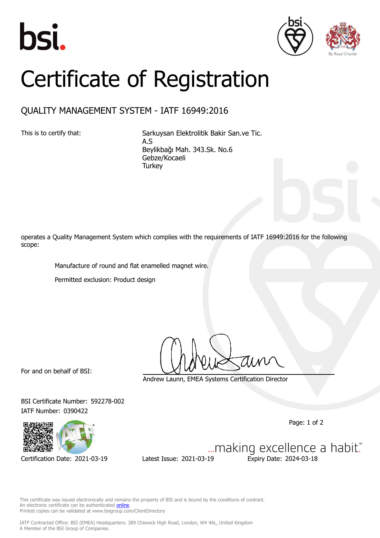





## Certificate of Registration

## QUALITY MANAGEMENT SYSTEM - IATF 16949:2016

This is to certify that: Sarkuysan Elektrolitik Bakir San.ve Tic. A.S Beylikbağı Mah. 343.Sk. No.6 Gebze/Kocaeli **Turkey** 

operates a Quality Management System which complies with the requirements of IATF 16949:2016 for the following scope:

Manufacture of round and flat enamelled magnet wire.

Permitted exclusion: Product design

For and on behalf of BSI:

Andrew Launn, EMEA Systems Certification Director

BSI Certificate Number: 592278-002 IATF Number: 0390422

Page: 1 of 2

... making excellence a habit." Certification Date: 2021-03-19 Latest Issue: 2021-03-19 Expiry Date: 2024-03-18

This certificate was issued electronically and remains the property of BSI and is bound by the conditions of contract. An electronic certificate can be authenticated **[online](https://pgplus.bsigroup.com/CertificateValidation/CertificateValidator.aspx?CertificateNumber=TS+592278-002&ReIssueDate=19%2f03%2f2021&Template=cemea_en)** Printed copies can be validated at www.bsigroup.com/ClientDirectory

IATF Contracted Office: BSI (EMEA) Headquarters: 389 Chiswick High Road, London, W4 4AL, United Kingdom A Member of the BSI Group of Companies.